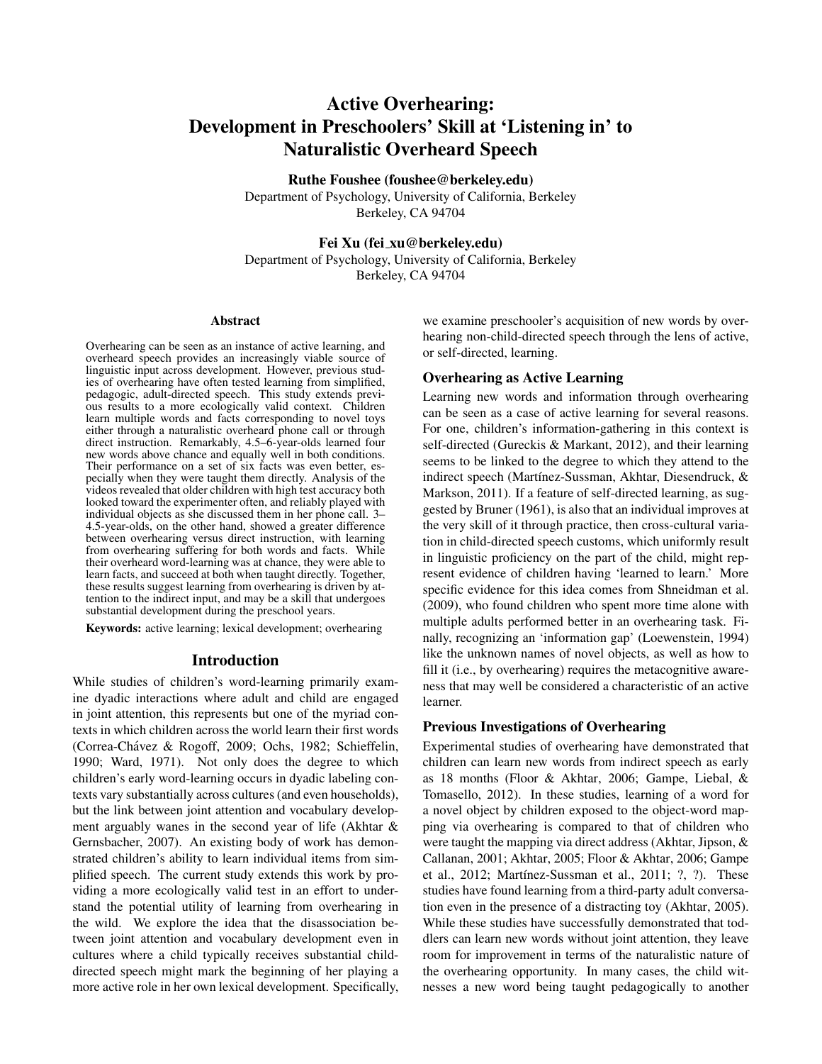# Active Overhearing: Development in Preschoolers' Skill at 'Listening in' to Naturalistic Overheard Speech

Ruthe Foushee (foushee@berkeley.edu)

Department of Psychology, University of California, Berkeley Berkeley, CA 94704

# Fei Xu (fei xu@berkeley.edu)

Department of Psychology, University of California, Berkeley Berkeley, CA 94704

#### Abstract

Overhearing can be seen as an instance of active learning, and overheard speech provides an increasingly viable source of linguistic input across development. However, previous studies of overhearing have often tested learning from simplified, pedagogic, adult-directed speech. This study extends previous results to a more ecologically valid context. Children learn multiple words and facts corresponding to novel toys either through a naturalistic overheard phone call or through direct instruction. Remarkably, 4.5–6-year-olds learned four new words above chance and equally well in both conditions. Their performance on a set of six facts was even better, especially when they were taught them directly. Analysis of the videos revealed that older children with high test accuracy both looked toward the experimenter often, and reliably played with individual objects as she discussed them in her phone call. 3– 4.5-year-olds, on the other hand, showed a greater difference between overhearing versus direct instruction, with learning from overhearing suffering for both words and facts. While their overheard word-learning was at chance, they were able to learn facts, and succeed at both when taught directly. Together, these results suggest learning from overhearing is driven by attention to the indirect input, and may be a skill that undergoes substantial development during the preschool years.

Keywords: active learning; lexical development; overhearing

#### Introduction

While studies of children's word-learning primarily examine dyadic interactions where adult and child are engaged in joint attention, this represents but one of the myriad contexts in which children across the world learn their first words (Correa-Chávez & Rogoff, 2009; Ochs, 1982; Schieffelin, 1990; Ward, 1971). Not only does the degree to which children's early word-learning occurs in dyadic labeling contexts vary substantially across cultures (and even households), but the link between joint attention and vocabulary development arguably wanes in the second year of life (Akhtar & Gernsbacher, 2007). An existing body of work has demonstrated children's ability to learn individual items from simplified speech. The current study extends this work by providing a more ecologically valid test in an effort to understand the potential utility of learning from overhearing in the wild. We explore the idea that the disassociation between joint attention and vocabulary development even in cultures where a child typically receives substantial childdirected speech might mark the beginning of her playing a more active role in her own lexical development. Specifically, we examine preschooler's acquisition of new words by overhearing non-child-directed speech through the lens of active, or self-directed, learning.

### Overhearing as Active Learning

Learning new words and information through overhearing can be seen as a case of active learning for several reasons. For one, children's information-gathering in this context is self-directed (Gureckis & Markant, 2012), and their learning seems to be linked to the degree to which they attend to the indirect speech (Martínez-Sussman, Akhtar, Diesendruck, & Markson, 2011). If a feature of self-directed learning, as suggested by Bruner (1961), is also that an individual improves at the very skill of it through practice, then cross-cultural variation in child-directed speech customs, which uniformly result in linguistic proficiency on the part of the child, might represent evidence of children having 'learned to learn.' More specific evidence for this idea comes from Shneidman et al. (2009), who found children who spent more time alone with multiple adults performed better in an overhearing task. Finally, recognizing an 'information gap' (Loewenstein, 1994) like the unknown names of novel objects, as well as how to fill it (i.e., by overhearing) requires the metacognitive awareness that may well be considered a characteristic of an active learner.

#### Previous Investigations of Overhearing

Experimental studies of overhearing have demonstrated that children can learn new words from indirect speech as early as 18 months (Floor & Akhtar, 2006; Gampe, Liebal, & Tomasello, 2012). In these studies, learning of a word for a novel object by children exposed to the object-word mapping via overhearing is compared to that of children who were taught the mapping via direct address (Akhtar, Jipson, & Callanan, 2001; Akhtar, 2005; Floor & Akhtar, 2006; Gampe et al., 2012; Martínez-Sussman et al., 2011; ?, ?). These studies have found learning from a third-party adult conversation even in the presence of a distracting toy (Akhtar, 2005). While these studies have successfully demonstrated that toddlers can learn new words without joint attention, they leave room for improvement in terms of the naturalistic nature of the overhearing opportunity. In many cases, the child witnesses a new word being taught pedagogically to another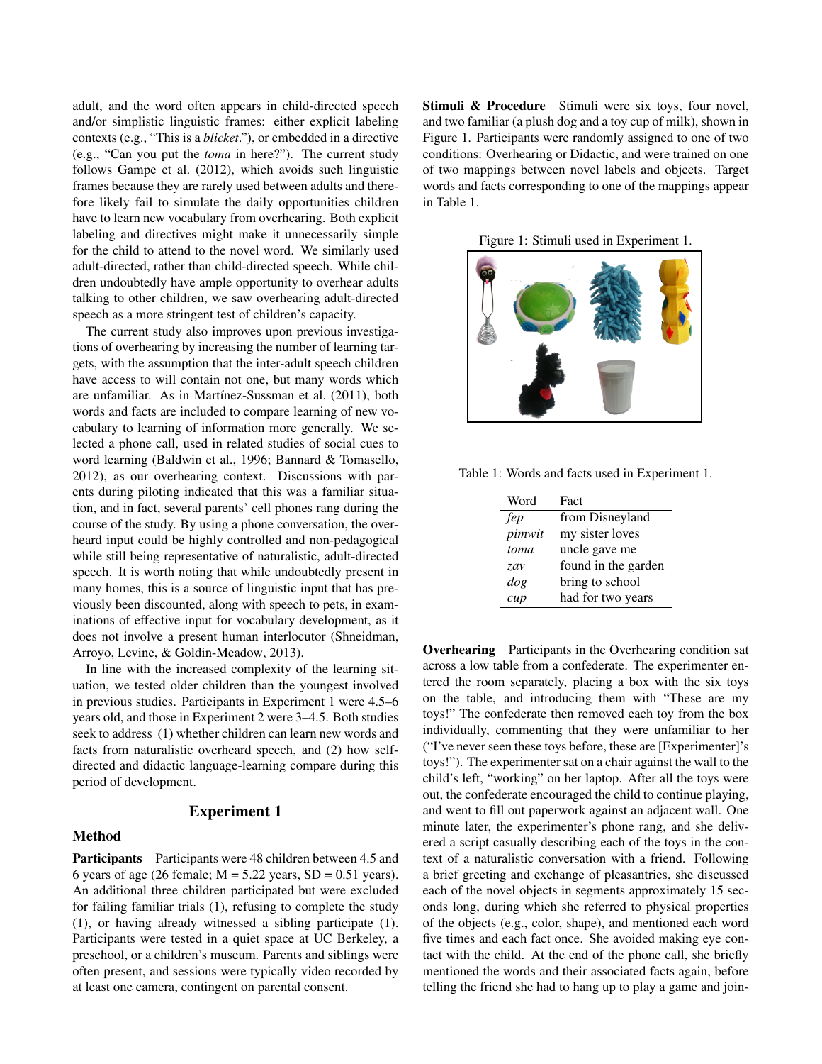adult, and the word often appears in child-directed speech and/or simplistic linguistic frames: either explicit labeling contexts (e.g., "This is a *blicket*."), or embedded in a directive (e.g., "Can you put the *toma* in here?"). The current study follows Gampe et al. (2012), which avoids such linguistic frames because they are rarely used between adults and therefore likely fail to simulate the daily opportunities children have to learn new vocabulary from overhearing. Both explicit labeling and directives might make it unnecessarily simple for the child to attend to the novel word. We similarly used adult-directed, rather than child-directed speech. While children undoubtedly have ample opportunity to overhear adults talking to other children, we saw overhearing adult-directed speech as a more stringent test of children's capacity.

The current study also improves upon previous investigations of overhearing by increasing the number of learning targets, with the assumption that the inter-adult speech children have access to will contain not one, but many words which are unfamiliar. As in Martínez-Sussman et al. (2011), both words and facts are included to compare learning of new vocabulary to learning of information more generally. We selected a phone call, used in related studies of social cues to word learning (Baldwin et al., 1996; Bannard & Tomasello, 2012), as our overhearing context. Discussions with parents during piloting indicated that this was a familiar situation, and in fact, several parents' cell phones rang during the course of the study. By using a phone conversation, the overheard input could be highly controlled and non-pedagogical while still being representative of naturalistic, adult-directed speech. It is worth noting that while undoubtedly present in many homes, this is a source of linguistic input that has previously been discounted, along with speech to pets, in examinations of effective input for vocabulary development, as it does not involve a present human interlocutor (Shneidman, Arroyo, Levine, & Goldin-Meadow, 2013).

In line with the increased complexity of the learning situation, we tested older children than the youngest involved in previous studies. Participants in Experiment 1 were 4.5–6 years old, and those in Experiment 2 were 3–4.5. Both studies seek to address (1) whether children can learn new words and facts from naturalistic overheard speech, and (2) how selfdirected and didactic language-learning compare during this period of development.

#### Experiment 1

## Method

Participants Participants were 48 children between 4.5 and 6 years of age (26 female;  $M = 5.22$  years,  $SD = 0.51$  years). An additional three children participated but were excluded for failing familiar trials (1), refusing to complete the study (1), or having already witnessed a sibling participate (1). Participants were tested in a quiet space at UC Berkeley, a preschool, or a children's museum. Parents and siblings were often present, and sessions were typically video recorded by at least one camera, contingent on parental consent.

Stimuli & Procedure Stimuli were six toys, four novel, and two familiar (a plush dog and a toy cup of milk), shown in Figure 1. Participants were randomly assigned to one of two conditions: Overhearing or Didactic, and were trained on one of two mappings between novel labels and objects. Target words and facts corresponding to one of the mappings appear in Table 1.

Figure 1: Stimuli used in Experiment 1.



Table 1: Words and facts used in Experiment 1.

| Word   | Fact                |
|--------|---------------------|
| fep    | from Disneyland     |
| pimwit | my sister loves     |
| toma   | uncle gave me       |
| zav    | found in the garden |
| dog    | bring to school     |
| cup    | had for two years   |

Overhearing Participants in the Overhearing condition sat across a low table from a confederate. The experimenter entered the room separately, placing a box with the six toys on the table, and introducing them with "These are my toys!" The confederate then removed each toy from the box individually, commenting that they were unfamiliar to her ("I've never seen these toys before, these are [Experimenter]'s toys!"). The experimenter sat on a chair against the wall to the child's left, "working" on her laptop. After all the toys were out, the confederate encouraged the child to continue playing, and went to fill out paperwork against an adjacent wall. One minute later, the experimenter's phone rang, and she delivered a script casually describing each of the toys in the context of a naturalistic conversation with a friend. Following a brief greeting and exchange of pleasantries, she discussed each of the novel objects in segments approximately 15 seconds long, during which she referred to physical properties of the objects (e.g., color, shape), and mentioned each word five times and each fact once. She avoided making eye contact with the child. At the end of the phone call, she briefly mentioned the words and their associated facts again, before telling the friend she had to hang up to play a game and join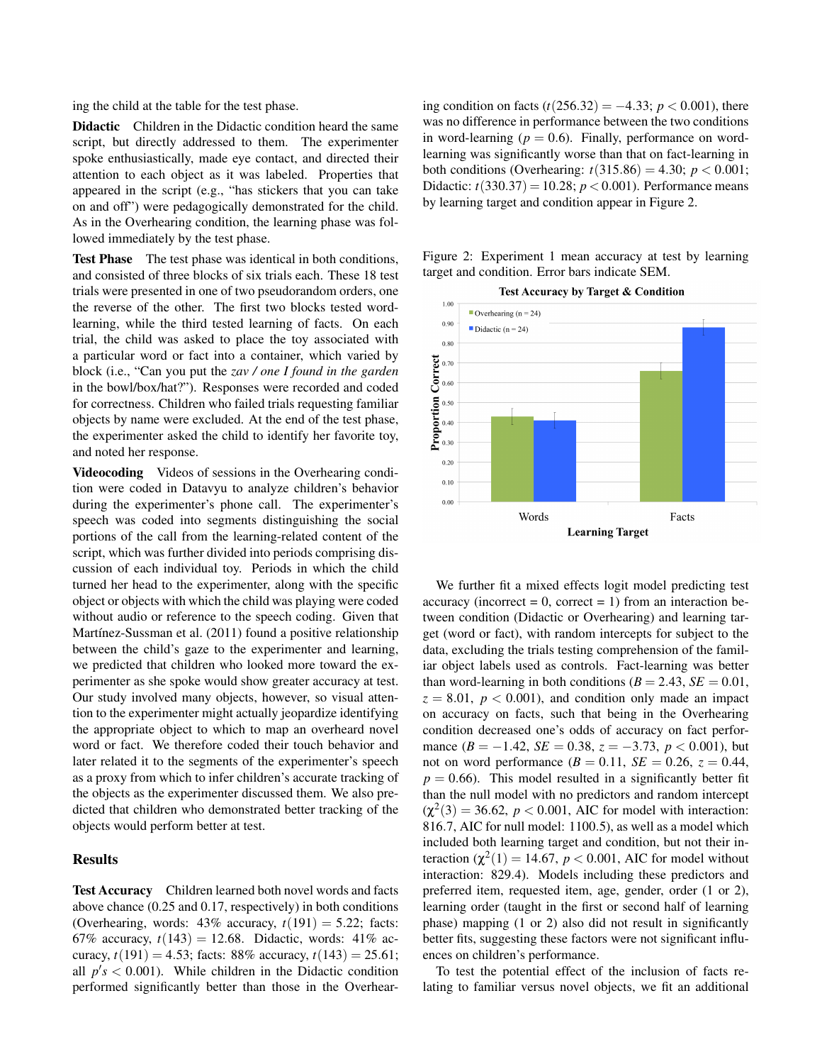ing the child at the table for the test phase.

Didactic Children in the Didactic condition heard the same script, but directly addressed to them. The experimenter spoke enthusiastically, made eye contact, and directed their attention to each object as it was labeled. Properties that appeared in the script (e.g., "has stickers that you can take on and off") were pedagogically demonstrated for the child. As in the Overhearing condition, the learning phase was followed immediately by the test phase.

Test Phase The test phase was identical in both conditions, and consisted of three blocks of six trials each. These 18 test trials were presented in one of two pseudorandom orders, one the reverse of the other. The first two blocks tested wordlearning, while the third tested learning of facts. On each trial, the child was asked to place the toy associated with a particular word or fact into a container, which varied by block (i.e., "Can you put the *zav / one I found in the garden* in the bowl/box/hat?"). Responses were recorded and coded for correctness. Children who failed trials requesting familiar objects by name were excluded. At the end of the test phase, the experimenter asked the child to identify her favorite toy, and noted her response.

Videocoding Videos of sessions in the Overhearing condition were coded in Datavyu to analyze children's behavior during the experimenter's phone call. The experimenter's speech was coded into segments distinguishing the social portions of the call from the learning-related content of the script, which was further divided into periods comprising discussion of each individual toy. Periods in which the child turned her head to the experimenter, along with the specific object or objects with which the child was playing were coded without audio or reference to the speech coding. Given that Martínez-Sussman et al. (2011) found a positive relationship between the child's gaze to the experimenter and learning, we predicted that children who looked more toward the experimenter as she spoke would show greater accuracy at test. Our study involved many objects, however, so visual attention to the experimenter might actually jeopardize identifying the appropriate object to which to map an overheard novel word or fact. We therefore coded their touch behavior and later related it to the segments of the experimenter's speech as a proxy from which to infer children's accurate tracking of the objects as the experimenter discussed them. We also predicted that children who demonstrated better tracking of the objects would perform better at test.

## Results

Test Accuracy Children learned both novel words and facts above chance (0.25 and 0.17, respectively) in both conditions (Overhearing, words:  $43\%$  accuracy,  $t(191) = 5.22$ ; facts: 67% accuracy,  $t(143) = 12.68$ . Didactic, words: 41% accuracy,  $t(191) = 4.53$ ; facts: 88% accuracy,  $t(143) = 25.61$ ; all  $p's < 0.001$ ). While children in the Didactic condition performed significantly better than those in the Overhearing condition on facts  $(t(256.32) = -4.33; p < 0.001)$ , there was no difference in performance between the two conditions in word-learning  $(p = 0.6)$ . Finally, performance on wordlearning was significantly worse than that on fact-learning in both conditions (Overhearing:  $t(315.86) = 4.30$ ;  $p < 0.001$ ; Didactic:  $t(330.37) = 10.28$ ;  $p < 0.001$ ). Performance means by learning target and condition appear in Figure 2.

Figure 2: Experiment 1 mean accuracy at test by learning target and condition. Error bars indicate SEM.



We further fit a mixed effects logit model predicting test accuracy (incorrect  $= 0$ , correct  $= 1$ ) from an interaction between condition (Didactic or Overhearing) and learning target (word or fact), with random intercepts for subject to the data, excluding the trials testing comprehension of the familiar object labels used as controls. Fact-learning was better than word-learning in both conditions ( $B = 2.43$ ,  $SE = 0.01$ ,  $z = 8.01$ ,  $p < 0.001$ ), and condition only made an impact on accuracy on facts, such that being in the Overhearing condition decreased one's odds of accuracy on fact performance  $(B = -1.42, SE = 0.38, z = -3.73, p < 0.001$ , but not on word performance  $(B = 0.11, SE = 0.26, z = 0.44,$  $p = 0.66$ ). This model resulted in a significantly better fit than the null model with no predictors and random intercept  $(\chi^2(3) = 36.62, p < 0.001, \text{ AIC for model with interaction:}$ 816.7, AIC for null model: 1100.5), as well as a model which included both learning target and condition, but not their interaction  $(\chi^2(1) = 14.67, p < 0.001, \text{ AIC}$  for model without interaction: 829.4). Models including these predictors and preferred item, requested item, age, gender, order (1 or 2), learning order (taught in the first or second half of learning phase) mapping (1 or 2) also did not result in significantly better fits, suggesting these factors were not significant influences on children's performance.

To test the potential effect of the inclusion of facts relating to familiar versus novel objects, we fit an additional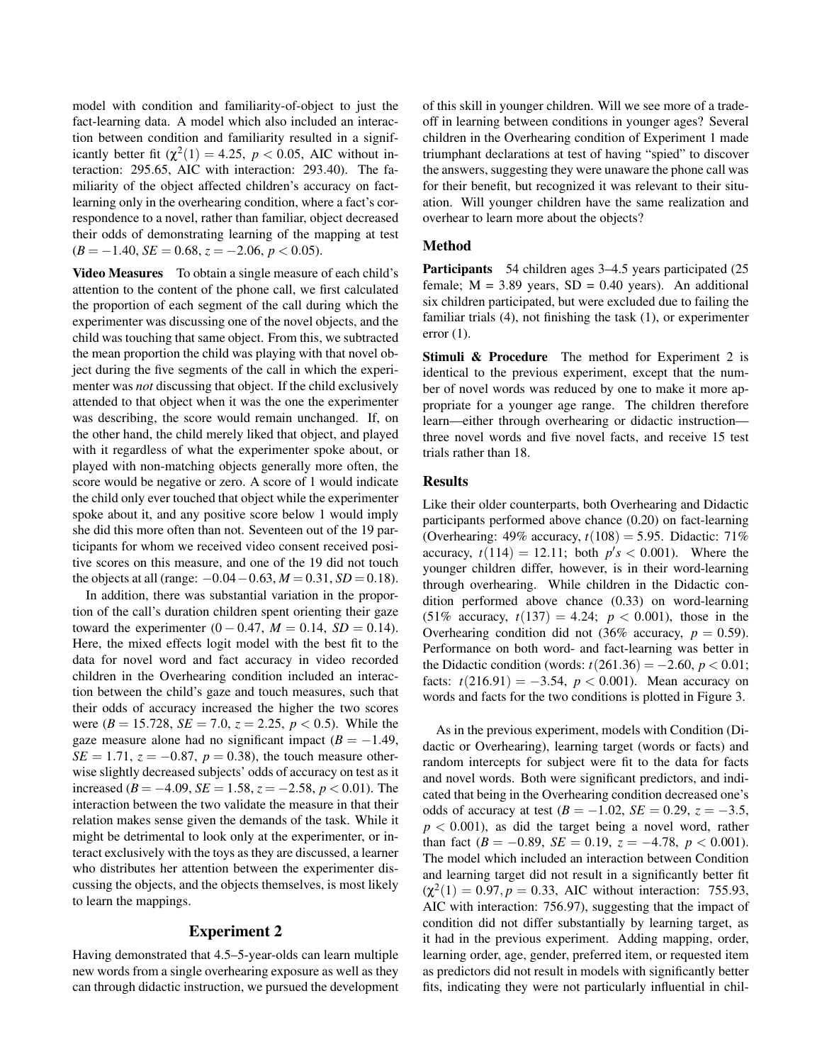model with condition and familiarity-of-object to just the fact-learning data. A model which also included an interaction between condition and familiarity resulted in a significantly better fit  $(\chi^2(1) = 4.25, p < 0.05, \text{ AIC without in-}$ teraction: 295.65, AIC with interaction: 293.40). The familiarity of the object affected children's accuracy on factlearning only in the overhearing condition, where a fact's correspondence to a novel, rather than familiar, object decreased their odds of demonstrating learning of the mapping at test  $(B = -1.40, SE = 0.68, z = -2.06, p < 0.05).$ 

Video Measures To obtain a single measure of each child's attention to the content of the phone call, we first calculated the proportion of each segment of the call during which the experimenter was discussing one of the novel objects, and the child was touching that same object. From this, we subtracted the mean proportion the child was playing with that novel object during the five segments of the call in which the experimenter was *not* discussing that object. If the child exclusively attended to that object when it was the one the experimenter was describing, the score would remain unchanged. If, on the other hand, the child merely liked that object, and played with it regardless of what the experimenter spoke about, or played with non-matching objects generally more often, the score would be negative or zero. A score of 1 would indicate the child only ever touched that object while the experimenter spoke about it, and any positive score below 1 would imply she did this more often than not. Seventeen out of the 19 participants for whom we received video consent received positive scores on this measure, and one of the 19 did not touch the objects at all (range:  $-0.04 - 0.63$ ,  $M = 0.31$ ,  $SD = 0.18$ ).

In addition, there was substantial variation in the proportion of the call's duration children spent orienting their gaze toward the experimenter  $(0 - 0.47, M = 0.14, SD = 0.14)$ . Here, the mixed effects logit model with the best fit to the data for novel word and fact accuracy in video recorded children in the Overhearing condition included an interaction between the child's gaze and touch measures, such that their odds of accuracy increased the higher the two scores were ( $B = 15.728$ ,  $SE = 7.0$ ,  $z = 2.25$ ,  $p < 0.5$ ). While the gaze measure alone had no significant impact  $(B = -1.49)$ , *SE* = 1.71,  $z = -0.87$ ,  $p = 0.38$ ), the touch measure otherwise slightly decreased subjects' odds of accuracy on test as it increased (*B* = −4.09, *SE* = 1.58, *z* = −2.58, *p* < 0.01). The interaction between the two validate the measure in that their relation makes sense given the demands of the task. While it might be detrimental to look only at the experimenter, or interact exclusively with the toys as they are discussed, a learner who distributes her attention between the experimenter discussing the objects, and the objects themselves, is most likely to learn the mappings.

## Experiment 2

Having demonstrated that 4.5–5-year-olds can learn multiple new words from a single overhearing exposure as well as they can through didactic instruction, we pursued the development of this skill in younger children. Will we see more of a tradeoff in learning between conditions in younger ages? Several children in the Overhearing condition of Experiment 1 made triumphant declarations at test of having "spied" to discover the answers, suggesting they were unaware the phone call was for their benefit, but recognized it was relevant to their situation. Will younger children have the same realization and overhear to learn more about the objects?

## Method

Participants 54 children ages 3–4.5 years participated (25 female;  $M = 3.89$  years,  $SD = 0.40$  years). An additional six children participated, but were excluded due to failing the familiar trials (4), not finishing the task (1), or experimenter error (1).

Stimuli & Procedure The method for Experiment 2 is identical to the previous experiment, except that the number of novel words was reduced by one to make it more appropriate for a younger age range. The children therefore learn—either through overhearing or didactic instruction three novel words and five novel facts, and receive 15 test trials rather than 18.

#### Results

Like their older counterparts, both Overhearing and Didactic participants performed above chance (0.20) on fact-learning (Overhearing: 49% accuracy, *t*(108) = 5.95. Didactic: 71% accuracy,  $t(114) = 12.11$ ; both  $p's < 0.001$ ). Where the younger children differ, however, is in their word-learning through overhearing. While children in the Didactic condition performed above chance (0.33) on word-learning (51% accuracy,  $t(137) = 4.24$ ;  $p < 0.001$ ), those in the Overhearing condition did not  $(36\% \text{ accuracy}, p = 0.59)$ . Performance on both word- and fact-learning was better in the Didactic condition (words:  $t(261.36) = -2.60, p < 0.01;$ facts:  $t(216.91) = -3.54$ ,  $p < 0.001$ ). Mean accuracy on words and facts for the two conditions is plotted in Figure 3.

As in the previous experiment, models with Condition (Didactic or Overhearing), learning target (words or facts) and random intercepts for subject were fit to the data for facts and novel words. Both were significant predictors, and indicated that being in the Overhearing condition decreased one's odds of accuracy at test  $(B = −1.02, SE = 0.29, z = −3.5,$  $p < 0.001$ ), as did the target being a novel word, rather than fact  $(B = -0.89, SE = 0.19, z = -4.78, p < 0.001$ . The model which included an interaction between Condition and learning target did not result in a significantly better fit  $(\chi^2(1) = 0.97, p = 0.33, \text{ AIC without interaction: } 755.93,$ AIC with interaction: 756.97), suggesting that the impact of condition did not differ substantially by learning target, as it had in the previous experiment. Adding mapping, order, learning order, age, gender, preferred item, or requested item as predictors did not result in models with significantly better fits, indicating they were not particularly influential in chil-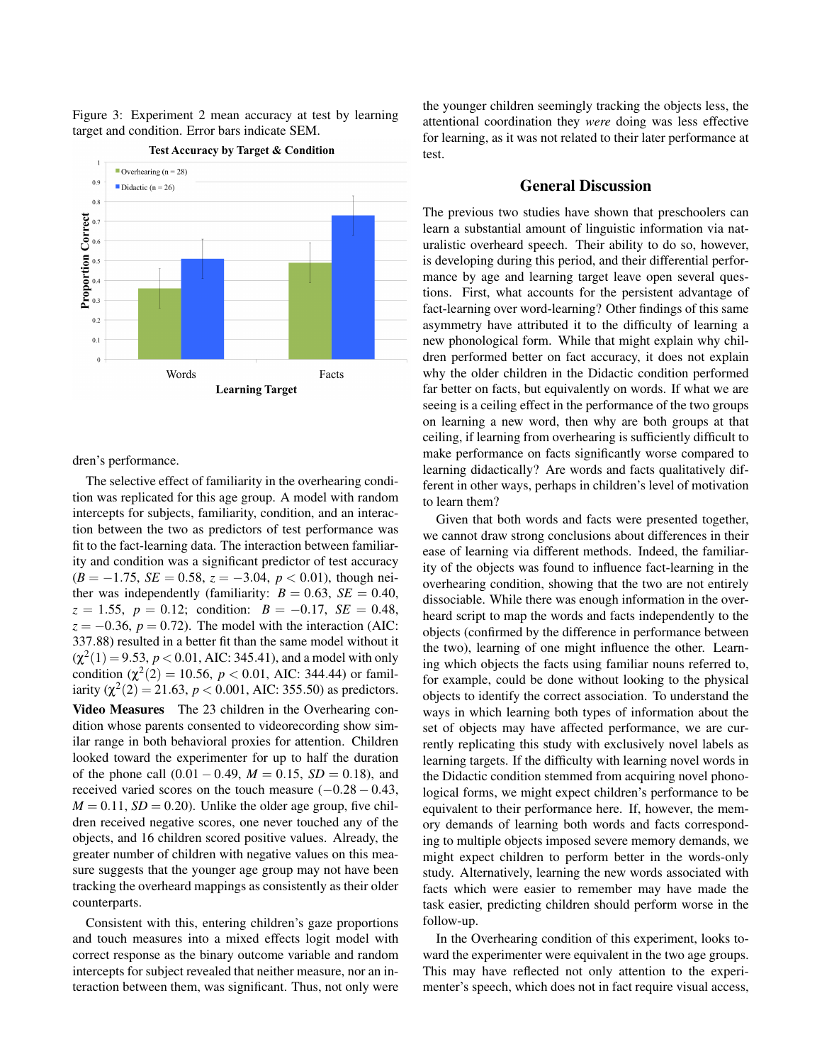

# Figure 3: Experiment 2 mean accuracy at test by learning target and condition. Error bars indicate SEM.

dren's performance.

The selective effect of familiarity in the overhearing condition was replicated for this age group. A model with random intercepts for subjects, familiarity, condition, and an interaction between the two as predictors of test performance was fit to the fact-learning data. The interaction between familiarity and condition was a significant predictor of test accuracy  $(B = -1.75, SE = 0.58, z = -3.04, p < 0.01$ , though neither was independently (familiarity:  $B = 0.63$ ,  $SE = 0.40$ , *z* = 1.55, *p* = 0.12; condition: *B* = −0.17, *SE* = 0.48,  $z = -0.36$ ,  $p = 0.72$ ). The model with the interaction (AIC: 337.88) resulted in a better fit than the same model without it  $(\chi^2(1) = 9.53, p < 0.01, \text{AIC: } 345.41)$ , and a model with only condition  $(\chi^2(2) = 10.56, p < 0.01, \text{ AIC: } 344.44)$  or familiarity  $(\chi^2(2) = 21.63, p < 0.001, \text{AIC: } 355.50)$  as predictors.

Video Measures The 23 children in the Overhearing condition whose parents consented to videorecording show similar range in both behavioral proxies for attention. Children looked toward the experimenter for up to half the duration of the phone call  $(0.01 - 0.49, M = 0.15, SD = 0.18)$ , and received varied scores on the touch measure  $(-0.28 - 0.43,$  $M = 0.11$ ,  $SD = 0.20$ ). Unlike the older age group, five children received negative scores, one never touched any of the objects, and 16 children scored positive values. Already, the greater number of children with negative values on this measure suggests that the younger age group may not have been tracking the overheard mappings as consistently as their older counterparts.

Consistent with this, entering children's gaze proportions and touch measures into a mixed effects logit model with correct response as the binary outcome variable and random intercepts for subject revealed that neither measure, nor an interaction between them, was significant. Thus, not only were the younger children seemingly tracking the objects less, the attentional coordination they *were* doing was less effective for learning, as it was not related to their later performance at test.

## General Discussion

The previous two studies have shown that preschoolers can learn a substantial amount of linguistic information via naturalistic overheard speech. Their ability to do so, however, is developing during this period, and their differential performance by age and learning target leave open several questions. First, what accounts for the persistent advantage of fact-learning over word-learning? Other findings of this same asymmetry have attributed it to the difficulty of learning a new phonological form. While that might explain why children performed better on fact accuracy, it does not explain why the older children in the Didactic condition performed far better on facts, but equivalently on words. If what we are seeing is a ceiling effect in the performance of the two groups on learning a new word, then why are both groups at that ceiling, if learning from overhearing is sufficiently difficult to make performance on facts significantly worse compared to learning didactically? Are words and facts qualitatively different in other ways, perhaps in children's level of motivation to learn them?

Given that both words and facts were presented together, we cannot draw strong conclusions about differences in their ease of learning via different methods. Indeed, the familiarity of the objects was found to influence fact-learning in the overhearing condition, showing that the two are not entirely dissociable. While there was enough information in the overheard script to map the words and facts independently to the objects (confirmed by the difference in performance between the two), learning of one might influence the other. Learning which objects the facts using familiar nouns referred to, for example, could be done without looking to the physical objects to identify the correct association. To understand the ways in which learning both types of information about the set of objects may have affected performance, we are currently replicating this study with exclusively novel labels as learning targets. If the difficulty with learning novel words in the Didactic condition stemmed from acquiring novel phonological forms, we might expect children's performance to be equivalent to their performance here. If, however, the memory demands of learning both words and facts corresponding to multiple objects imposed severe memory demands, we might expect children to perform better in the words-only study. Alternatively, learning the new words associated with facts which were easier to remember may have made the task easier, predicting children should perform worse in the follow-up.

In the Overhearing condition of this experiment, looks toward the experimenter were equivalent in the two age groups. This may have reflected not only attention to the experimenter's speech, which does not in fact require visual access,